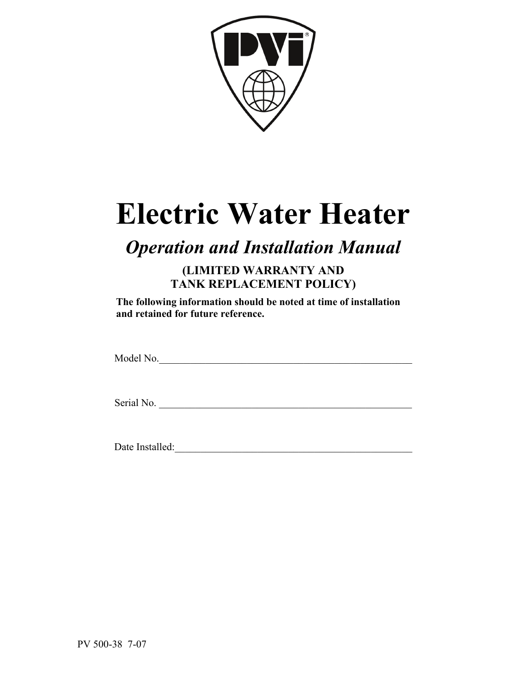

# **Electric Water Heater**

# *Operation and Installation Manual*

**(LIMITED WARRANTY AND TANK REPLACEMENT POLICY)** 

**The following information should be noted at time of installation and retained for future reference.** 

Model No.\_\_\_\_\_\_\_\_\_\_\_\_\_\_\_\_\_\_\_\_\_\_\_\_\_\_\_\_\_\_\_\_\_\_\_\_\_\_\_\_\_\_\_\_\_\_\_\_\_

Serial No.

Date Installed:\_\_\_\_\_\_\_\_\_\_\_\_\_\_\_\_\_\_\_\_\_\_\_\_\_\_\_\_\_\_\_\_\_\_\_\_\_\_\_\_\_\_\_\_\_\_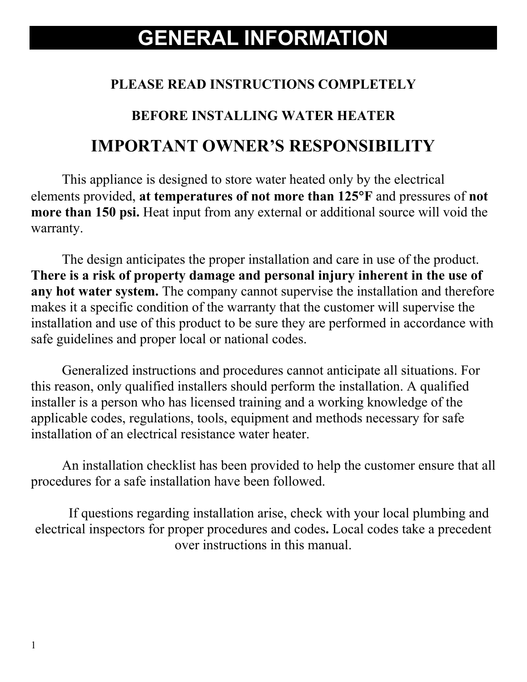# **GENERAL INFORMATION**

### **PLEASE READ INSTRUCTIONS COMPLETELY**

#### **BEFORE INSTALLING WATER HEATER**

# **IMPORTANT OWNER'S RESPONSIBILITY**

This appliance is designed to store water heated only by the electrical elements provided, **at temperatures of not more than 125**°**F** and pressures of **not more than 150 psi.** Heat input from any external or additional source will void the warranty.

The design anticipates the proper installation and care in use of the product. **There is a risk of property damage and personal injury inherent in the use of any hot water system.** The company cannot supervise the installation and therefore makes it a specific condition of the warranty that the customer will supervise the installation and use of this product to be sure they are performed in accordance with safe guidelines and proper local or national codes.

Generalized instructions and procedures cannot anticipate all situations. For this reason, only qualified installers should perform the installation. A qualified installer is a person who has licensed training and a working knowledge of the applicable codes, regulations, tools, equipment and methods necessary for safe installation of an electrical resistance water heater.

An installation checklist has been provided to help the customer ensure that all procedures for a safe installation have been followed.

If questions regarding installation arise, check with your local plumbing and electrical inspectors for proper procedures and codes**.** Local codes take a precedent over instructions in this manual.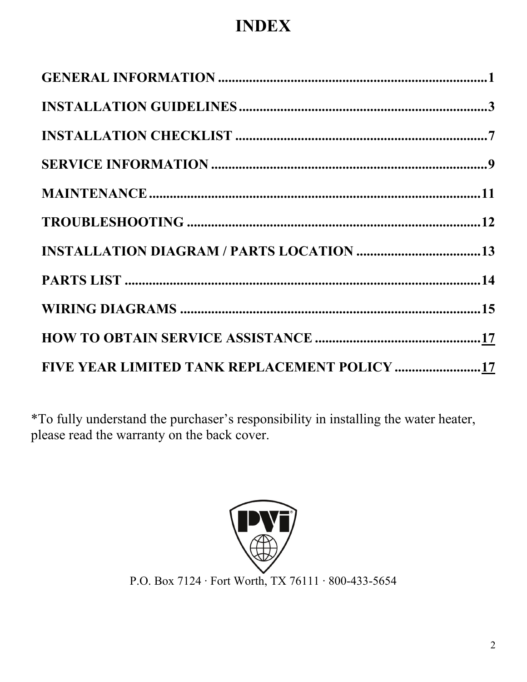# **INDEX**

| FIVE YEAR LIMITED TANK REPLACEMENT POLICY 17 |  |
|----------------------------------------------|--|
|                                              |  |
|                                              |  |
|                                              |  |
|                                              |  |
|                                              |  |
|                                              |  |
|                                              |  |
|                                              |  |
|                                              |  |
|                                              |  |

\*To fully understand the purchaser's responsibility in installing the water heater, please read the warranty on the back cover.

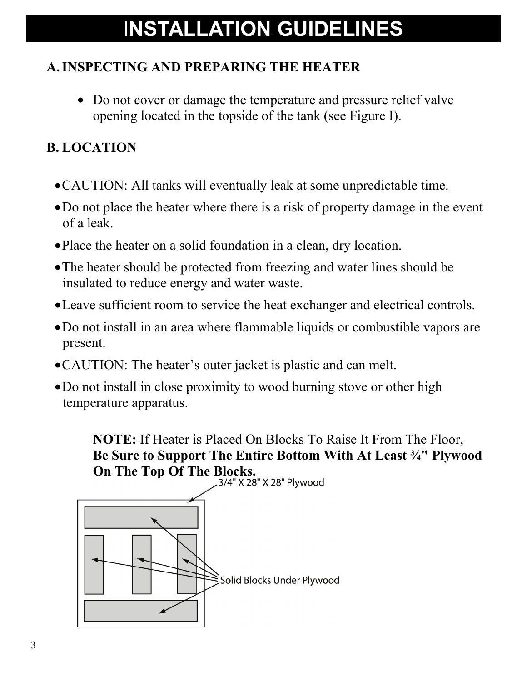# I**NSTALLATION GUIDELINES**

## **A.INSPECTING AND PREPARING THE HEATER**

• Do not cover or damage the temperature and pressure relief valve opening located in the topside of the tank (see Figure I).

### **B. LOCATION**

- •CAUTION: All tanks will eventually leak at some unpredictable time.
- •Do not place the heater where there is a risk of property damage in the event of a leak.
- •Place the heater on a solid foundation in a clean, dry location.
- The heater should be protected from freezing and water lines should be insulated to reduce energy and water waste.
- •Leave sufficient room to service the heat exchanger and electrical controls.
- •Do not install in an area where flammable liquids or combustible vapors are present.
- •CAUTION: The heater's outer jacket is plastic and can melt.
- •Do not install in close proximity to wood burning stove or other high temperature apparatus.

**NOTE:** If Heater is Placed On Blocks To Raise It From The Floor, **Be Sure to Support The Entire Bottom With At Least ¾" Plywood On The Top Of The Blocks.**<br>28" X 28" X 28" Plywood

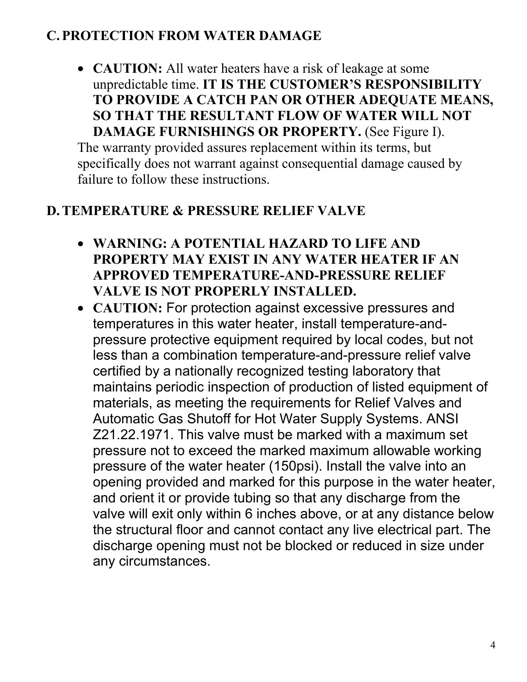#### **C.PROTECTION FROM WATER DAMAGE**

• **CAUTION:** All water heaters have a risk of leakage at some unpredictable time. **IT IS THE CUSTOMER'S RESPONSIBILITY TO PROVIDE A CATCH PAN OR OTHER ADEQUATE MEANS, SO THAT THE RESULTANT FLOW OF WATER WILL NOT DAMAGE FURNISHINGS OR PROPERTY.** (See Figure I).

The warranty provided assures replacement within its terms, but specifically does not warrant against consequential damage caused by failure to follow these instructions.

#### **D.TEMPERATURE & PRESSURE RELIEF VALVE**

- **WARNING: A POTENTIAL HAZARD TO LIFE AND PROPERTY MAY EXIST IN ANY WATER HEATER IF AN APPROVED TEMPERATURE-AND-PRESSURE RELIEF VALVE IS NOT PROPERLY INSTALLED.**
- **CAUTION:** For protection against excessive pressures and temperatures in this water heater, install temperature-andpressure protective equipment required by local codes, but not less than a combination temperature-and-pressure relief valve certified by a nationally recognized testing laboratory that maintains periodic inspection of production of listed equipment of materials, as meeting the requirements for Relief Valves and Automatic Gas Shutoff for Hot Water Supply Systems. ANSI Z21.22.1971. This valve must be marked with a maximum set pressure not to exceed the marked maximum allowable working pressure of the water heater (150psi). Install the valve into an opening provided and marked for this purpose in the water heater, and orient it or provide tubing so that any discharge from the valve will exit only within 6 inches above, or at any distance below the structural floor and cannot contact any live electrical part. The discharge opening must not be blocked or reduced in size under any circumstances.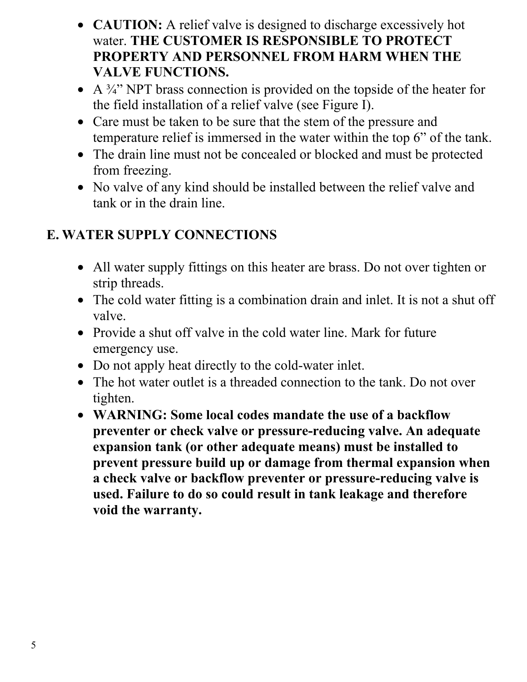- **CAUTION:** A relief valve is designed to discharge excessively hot water. **THE CUSTOMER IS RESPONSIBLE TO PROTECT PROPERTY AND PERSONNEL FROM HARM WHEN THE VALVE FUNCTIONS.**
- A  $\frac{3}{4}$ " NPT brass connection is provided on the topside of the heater for the field installation of a relief valve (see Figure I).
- Care must be taken to be sure that the stem of the pressure and temperature relief is immersed in the water within the top 6" of the tank.
- The drain line must not be concealed or blocked and must be protected from freezing.
- No valve of any kind should be installed between the relief valve and tank or in the drain line.

## **E. WATER SUPPLY CONNECTIONS**

- All water supply fittings on this heater are brass. Do not over tighten or strip threads.
- The cold water fitting is a combination drain and inlet. It is not a shut off valve.
- Provide a shut off valve in the cold water line. Mark for future emergency use.
- Do not apply heat directly to the cold-water inlet.
- The hot water outlet is a threaded connection to the tank. Do not over tighten.
- **WARNING: Some local codes mandate the use of a backflow preventer or check valve or pressure-reducing valve. An adequate expansion tank (or other adequate means) must be installed to prevent pressure build up or damage from thermal expansion when a check valve or backflow preventer or pressure-reducing valve is used. Failure to do so could result in tank leakage and therefore void the warranty.**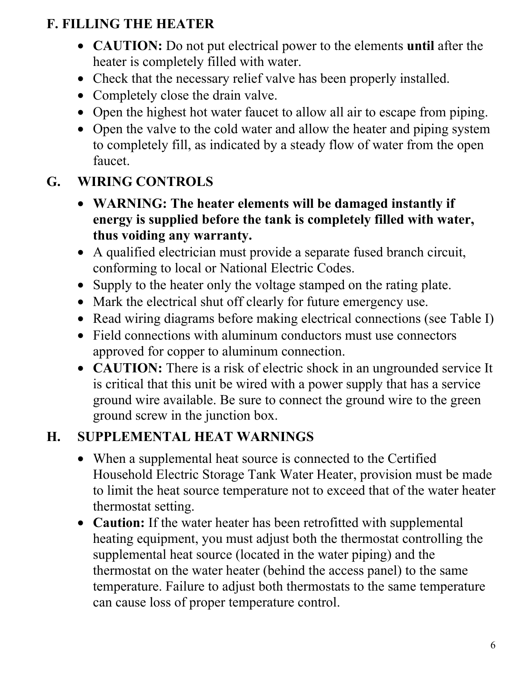## **F. FILLING THE HEATER**

- **CAUTION:** Do not put electrical power to the elements **until** after the heater is completely filled with water.
- Check that the necessary relief valve has been properly installed.
- Completely close the drain valve.
- Open the highest hot water faucet to allow all air to escape from piping.
- Open the valve to the cold water and allow the heater and piping system to completely fill, as indicated by a steady flow of water from the open faucet.

## **G. WIRING CONTROLS**

- **WARNING: The heater elements will be damaged instantly if energy is supplied before the tank is completely filled with water, thus voiding any warranty.**
- A qualified electrician must provide a separate fused branch circuit, conforming to local or National Electric Codes.
- Supply to the heater only the voltage stamped on the rating plate.
- Mark the electrical shut off clearly for future emergency use.
- Read wiring diagrams before making electrical connections (see Table I)
- Field connections with aluminum conductors must use connectors approved for copper to aluminum connection.
- **CAUTION:** There is a risk of electric shock in an ungrounded service It is critical that this unit be wired with a power supply that has a service ground wire available. Be sure to connect the ground wire to the green ground screw in the junction box.

### **H. SUPPLEMENTAL HEAT WARNINGS**

- When a supplemental heat source is connected to the Certified Household Electric Storage Tank Water Heater, provision must be made to limit the heat source temperature not to exceed that of the water heater thermostat setting.
- **Caution:** If the water heater has been retrofitted with supplemental heating equipment, you must adjust both the thermostat controlling the supplemental heat source (located in the water piping) and the thermostat on the water heater (behind the access panel) to the same temperature. Failure to adjust both thermostats to the same temperature can cause loss of proper temperature control.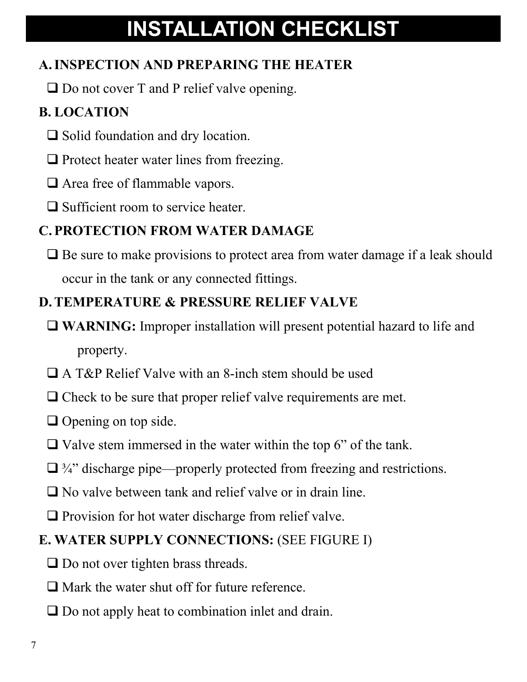# **INSTALLATION CHECKLIST**

## **A.INSPECTION AND PREPARING THE HEATER**

 $\Box$  Do not cover T and P relief valve opening.

# **B. LOCATION**

- $\Box$  Solid foundation and dry location.
- $\Box$  Protect heater water lines from freezing.
- □ Area free of flammable vapors.
- $\Box$  Sufficient room to service heater.

# **C.PROTECTION FROM WATER DAMAGE**

 $\Box$  Be sure to make provisions to protect area from water damage if a leak should occur in the tank or any connected fittings.

## **D.TEMPERATURE & PRESSURE RELIEF VALVE**

- **WARNING:** Improper installation will present potential hazard to life and property.
- A T&P Relief Valve with an 8-inch stem should be used
- $\Box$  Check to be sure that proper relief valve requirements are met.
- $\Box$  Opening on top side.
- $\Box$  Valve stem immersed in the water within the top 6" of the tank.
- $\Box$  3/4" discharge pipe—properly protected from freezing and restrictions.
- No valve between tank and relief valve or in drain line.
- $\Box$  Provision for hot water discharge from relief valve.

## **E. WATER SUPPLY CONNECTIONS:** (SEE FIGURE I)

- $\Box$  Do not over tighten brass threads.
- $\Box$  Mark the water shut off for future reference.
- $\Box$  Do not apply heat to combination inlet and drain.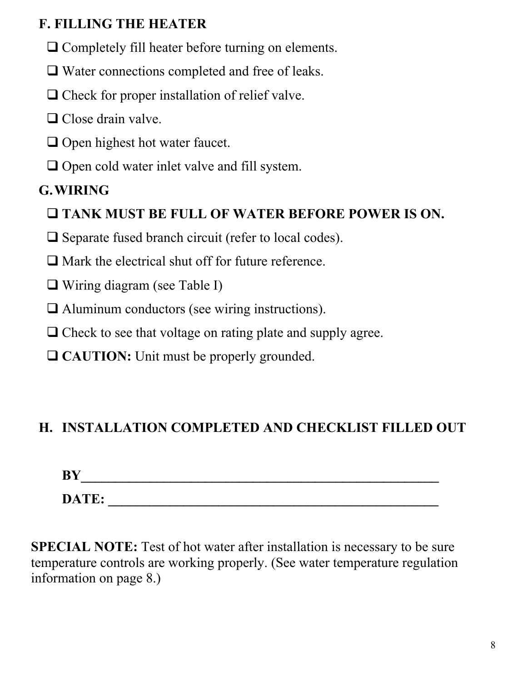### **F. FILLING THE HEATER**

- $\Box$  Completely fill heater before turning on elements.
- □ Water connections completed and free of leaks.
- $\Box$  Check for proper installation of relief valve.
- $\Box$  Close drain valve.
- $\Box$  Open highest hot water faucet.
- $\Box$  Open cold water inlet valve and fill system.

# **G.WIRING**

- **TANK MUST BE FULL OF WATER BEFORE POWER IS ON.**
- $\Box$  Separate fused branch circuit (refer to local codes).
- $\Box$  Mark the electrical shut off for future reference.
- □ Wiring diagram (see Table I)
- Aluminum conductors (see wiring instructions).
- $\Box$  Check to see that voltage on rating plate and supply agree.
- **□ CAUTION:** Unit must be properly grounded.

# **H. INSTALLATION COMPLETED AND CHECKLIST FILLED OUT**

| BY    |  |  |  |
|-------|--|--|--|
| DATE: |  |  |  |

**SPECIAL NOTE:** Test of hot water after installation is necessary to be sure temperature controls are working properly. (See water temperature regulation information on page 8.)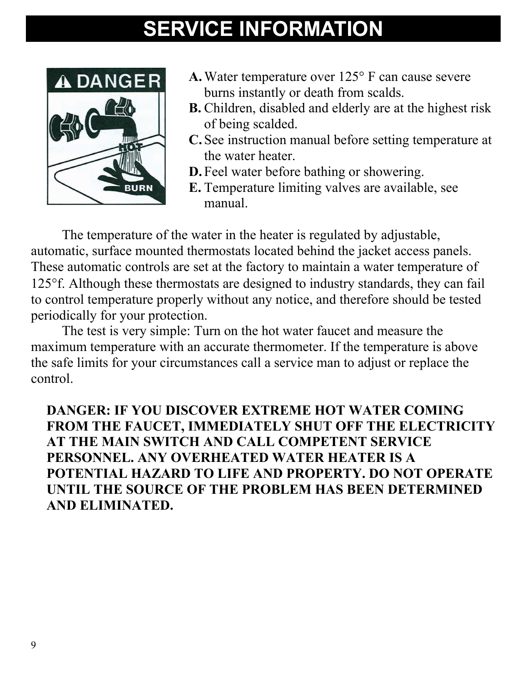# **SERVICE INFORMATION**



- **A.**Water temperature over 125° F can cause severe burns instantly or death from scalds.
- **B.** Children, disabled and elderly are at the highest risk of being scalded.
- **C.** See instruction manual before setting temperature at the water heater.
- **D.** Feel water before bathing or showering.
- **E.** Temperature limiting valves are available, see manual.

The temperature of the water in the heater is regulated by adjustable, automatic, surface mounted thermostats located behind the jacket access panels. These automatic controls are set at the factory to maintain a water temperature of 125°f. Although these thermostats are designed to industry standards, they can fail to control temperature properly without any notice, and therefore should be tested periodically for your protection.

 The test is very simple: Turn on the hot water faucet and measure the maximum temperature with an accurate thermometer. If the temperature is above the safe limits for your circumstances call a service man to adjust or replace the control.

**DANGER: IF YOU DISCOVER EXTREME HOT WATER COMING FROM THE FAUCET, IMMEDIATELY SHUT OFF THE ELECTRICITY AT THE MAIN SWITCH AND CALL COMPETENT SERVICE PERSONNEL. ANY OVERHEATED WATER HEATER IS A POTENTIAL HAZARD TO LIFE AND PROPERTY. DO NOT OPERATE UNTIL THE SOURCE OF THE PROBLEM HAS BEEN DETERMINED AND ELIMINATED.**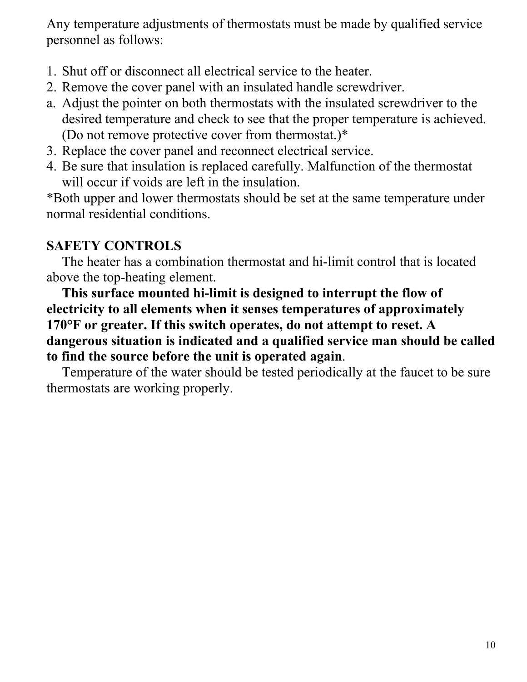Any temperature adjustments of thermostats must be made by qualified service personnel as follows:

- 1. Shut off or disconnect all electrical service to the heater.
- 2. Remove the cover panel with an insulated handle screwdriver.
- a. Adjust the pointer on both thermostats with the insulated screwdriver to the desired temperature and check to see that the proper temperature is achieved. (Do not remove protective cover from thermostat.)\*
- 3. Replace the cover panel and reconnect electrical service.
- 4. Be sure that insulation is replaced carefully. Malfunction of the thermostat will occur if voids are left in the insulation.

\*Both upper and lower thermostats should be set at the same temperature under normal residential conditions.

#### **SAFETY CONTROLS**

 The heater has a combination thermostat and hi-limit control that is located above the top-heating element.

 **This surface mounted hi-limit is designed to interrupt the flow of electricity to all elements when it senses temperatures of approximately 170°F or greater. If this switch operates, do not attempt to reset. A dangerous situation is indicated and a qualified service man should be called to find the source before the unit is operated again**.

 Temperature of the water should be tested periodically at the faucet to be sure thermostats are working properly.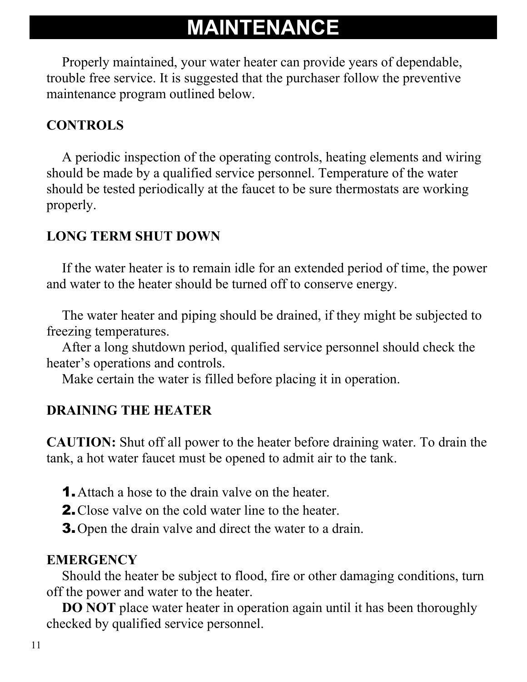# **MAINTENANCE**

Properly maintained, your water heater can provide years of dependable, trouble free service. It is suggested that the purchaser follow the preventive maintenance program outlined below.

### **CONTROLS**

 A periodic inspection of the operating controls, heating elements and wiring should be made by a qualified service personnel. Temperature of the water should be tested periodically at the faucet to be sure thermostats are working properly.

### **LONG TERM SHUT DOWN**

If the water heater is to remain idle for an extended period of time, the power and water to the heater should be turned off to conserve energy.

The water heater and piping should be drained, if they might be subjected to freezing temperatures.

After a long shutdown period, qualified service personnel should check the heater's operations and controls.

Make certain the water is filled before placing it in operation.

### **DRAINING THE HEATER**

**CAUTION:** Shut off all power to the heater before draining water. To drain the tank, a hot water faucet must be opened to admit air to the tank.

- **1.** Attach a hose to the drain valve on the heater.
- **2.** Close valve on the cold water line to the heater.
- 3.Open the drain valve and direct the water to a drain.

### **EMERGENCY**

 Should the heater be subject to flood, fire or other damaging conditions, turn off the power and water to the heater.

**DO NOT** place water heater in operation again until it has been thoroughly checked by qualified service personnel.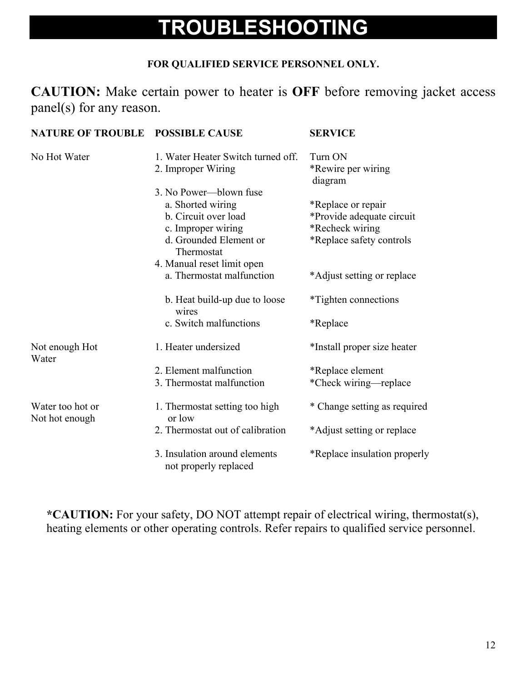# **TROUBLESHOOTING**

#### **FOR QUALIFIED SERVICE PERSONNEL ONLY.**

**CAUTION:** Make certain power to heater is **OFF** before removing jacket access panel(s) for any reason.

| <b>NATURE OF TROUBLE POSSIBLE CAUSE</b> |                                                                                                                                   | <b>SERVICE</b>                                                                                 |
|-----------------------------------------|-----------------------------------------------------------------------------------------------------------------------------------|------------------------------------------------------------------------------------------------|
| No Hot Water                            | 1. Water Heater Switch turned off.<br>2. Improper Wiring                                                                          | Turn ON<br>*Rewire per wiring<br>diagram                                                       |
|                                         | 3. No Power—blown fuse<br>a. Shorted wiring<br>b. Circuit over load<br>c. Improper wiring<br>d. Grounded Element or<br>Thermostat | *Replace or repair<br>*Provide adequate circuit<br>*Recheck wiring<br>*Replace safety controls |
|                                         | 4. Manual reset limit open<br>a. Thermostat malfunction                                                                           | *Adjust setting or replace                                                                     |
|                                         | b. Heat build-up due to loose<br>wires                                                                                            | *Tighten connections                                                                           |
|                                         | c. Switch malfunctions                                                                                                            | *Replace                                                                                       |
| Not enough Hot<br>Water                 | 1. Heater undersized                                                                                                              | *Install proper size heater                                                                    |
|                                         | 2. Element malfunction<br>3. Thermostat malfunction                                                                               | *Replace element<br>*Check wiring—replace                                                      |
| Water too hot or<br>Not hot enough      | 1. Thermostat setting too high<br>or low                                                                                          | * Change setting as required                                                                   |
|                                         | 2. Thermostat out of calibration                                                                                                  | *Adjust setting or replace                                                                     |
|                                         | 3. Insulation around elements<br>not properly replaced                                                                            | *Replace insulation properly                                                                   |

**\*CAUTION:** For your safety, DO NOT attempt repair of electrical wiring, thermostat(s), heating elements or other operating controls. Refer repairs to qualified service personnel.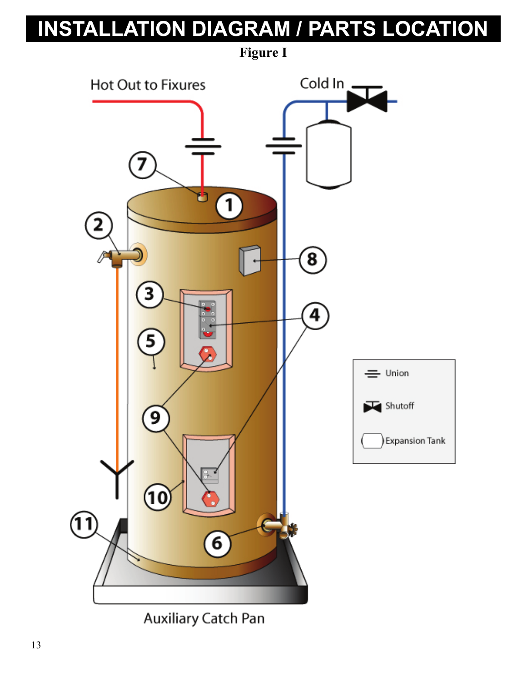# **INSTALLATION DIAGRAM / PARTS LOCATION**

**Figure I** Cold  $\ln$   $\blacksquare$ Hot Out to Fixures 7 ტ  $\left(1\right)$ 2  $\left[ \mathbf{8}\right]$ 4  $=$  Union Shutoff 9 **Expansion Tank** 10  $(11)$ 6

Auxiliary Catch Pan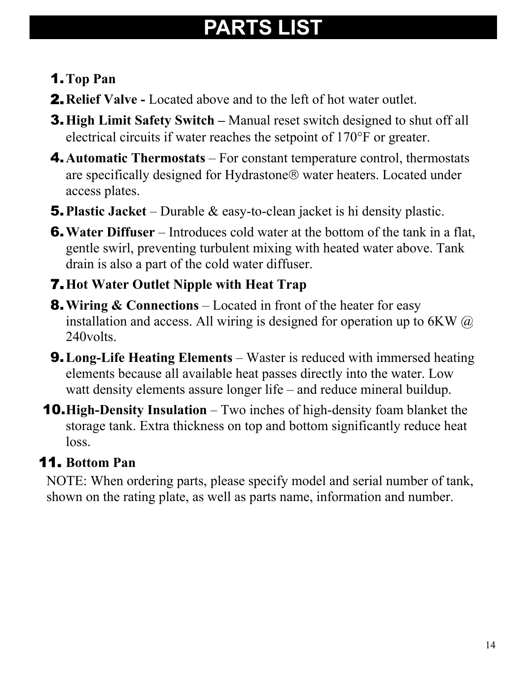# **PARTS LIST**

## 1.**Top Pan**

- **2.** Relief Valve Located above and to the left of hot water outlet.
- 3.**High Limit Safety Switch** Manual reset switch designed to shut off all electrical circuits if water reaches the setpoint of 170°F or greater.
- 4.**Automatic Thermostats** For constant temperature control, thermostats are specifically designed for Hydrastone® water heaters. Located under access plates.
- 5.**Plastic Jacket** Durable & easy-to-clean jacket is hi density plastic.
- 6.**Water Diffuser** Introduces cold water at the bottom of the tank in a flat, gentle swirl, preventing turbulent mixing with heated water above. Tank drain is also a part of the cold water diffuser.

## 7.**Hot Water Outlet Nipple with Heat Trap**

- 8.**Wiring & Connections** Located in front of the heater for easy installation and access. All wiring is designed for operation up to 6KW  $\omega$ 240volts.
- 9.**Long-Life Heating Elements** Waster is reduced with immersed heating elements because all available heat passes directly into the water. Low watt density elements assure longer life – and reduce mineral buildup.
- 10.**High-Density Insulation** Two inches of high-density foam blanket the storage tank. Extra thickness on top and bottom significantly reduce heat loss.

# 11. **Bottom Pan**

NOTE: When ordering parts, please specify model and serial number of tank, shown on the rating plate, as well as parts name, information and number.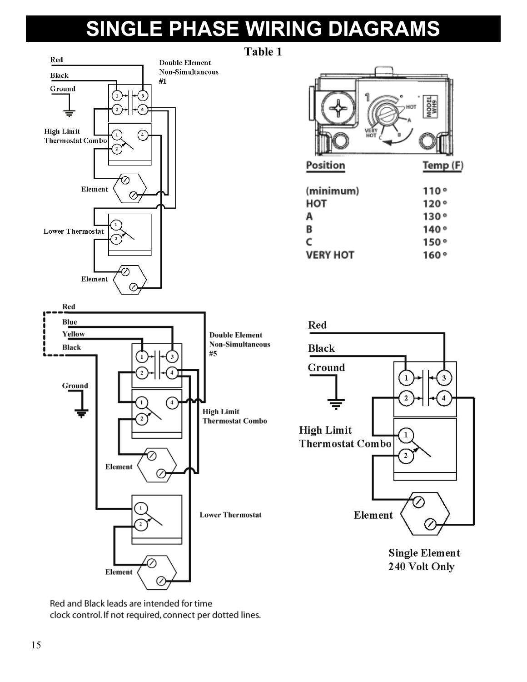# **SINGLE PHASE WIRING DIAGRAMS**



Position Temp (F) (minimum)  $110°$ HOT  $120°$  $130°$ Α В  $140°$ C  $150°$ **VERY HOT**  $160°$ 



**Single Element** 240 Volt Only

Red and Black leads are intended for time clock control. If not required, connect per dotted lines.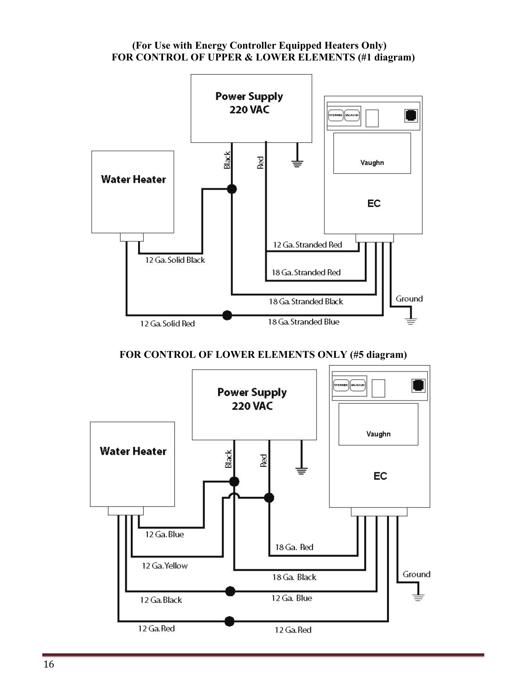#### **(For Use with Energy Controller Equipped Heaters Only) FOR CONTROL OF UPPER & LOWER ELEMENTS (#1 diagram)**



**FOR CONTROL OF LOWER ELEMENTS ONLY (#5 diagram)**